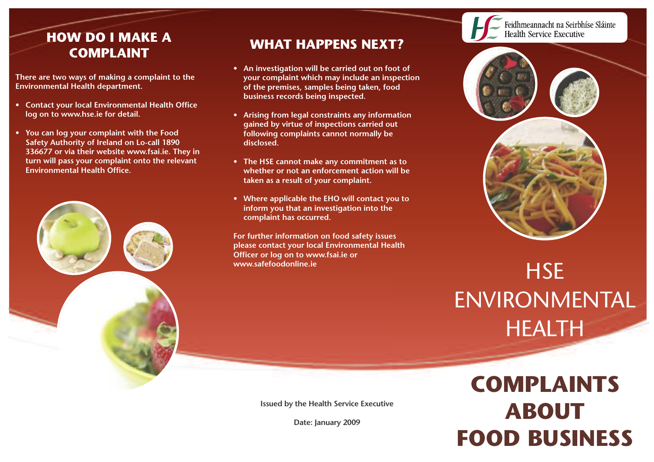## **HOW DO I MAKE A COMPLAINT**

**There are two ways of making a complaint to the Environmental Health department.**

- **• Contact your local Environmental Health Office log on to www.hse.ie for detail.**
- **• You can log your complaint with the Food Safety Authority of Ireland on Lo-call 1890 336677 or via their website www.fsai.ie. They in turn will pass your complaint onto the relevant Environmental Health Office.**



## **WHAT HAPPENS NEXT?**

- **• An investigation will be carried out on foot of your complaint which may include an inspection of the premises, samples being taken, food business records being inspected.**
- **• Arising from legal constraints any information gained by virtue of inspections carried out following complaints cannot normally be disclosed.**
- **• The HSE cannot make any commitment as to whether or not an enforcement action will be taken as a result of your complaint.**
- **• Where applicable the EHO will contact you to inform you that an investigation into the complaint has occurred.**

**For further information on food safety issues please contact your local Environmental Health Officer or log on to www.fsai.ie or www.safefoodonline.ie**



## **HSE** ENVIRONMENTAL HEALTH

**COMPLAINTS ABOUT FOOD BUSINESS**

**Issued by the Health Service Executive**

**Date: January 2009**